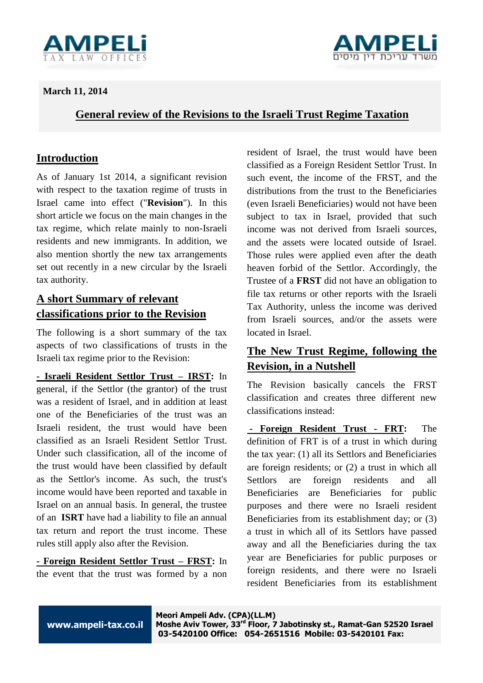



**March 11, 2014**

### **General review of the Revisions to the Israeli Trust Regime Taxation**

### **Introduction**

As of January 1st 2014, a significant revision with respect to the taxation regime of trusts in Israel came into effect ("**Revision**"). In this short article we focus on the main changes in the tax regime, which relate mainly to non-Israeli residents and new immigrants. In addition, we also mention shortly the new tax arrangements set out recently in a new circular by the Israeli tax authority.

## **A short Summary of relevant classifications prior to the Revision**

The following is a short summary of the tax aspects of two classifications of trusts in the Israeli tax regime prior to the Revision:

**- Israeli Resident Settlor Trust – IRST:** In general, if the Settlor (the grantor) of the trust was a resident of Israel, and in addition at least one of the Beneficiaries of the trust was an Israeli resident, the trust would have been classified as an Israeli Resident Settlor Trust. Under such classification, all of the income of the trust would have been classified by default as the Settlor's income. As such, the trust's income would have been reported and taxable in Israel on an annual basis. In general, the trustee of an **ISRT** have had a liability to file an annual tax return and report the trust income. These rules still apply also after the Revision.

**- Foreign Resident Settlor Trust – FRST:** In the event that the trust was formed by a non resident of Israel, the trust would have been classified as a Foreign Resident Settlor Trust. In such event, the income of the FRST, and the distributions from the trust to the Beneficiaries (even Israeli Beneficiaries) would not have been subject to tax in Israel, provided that such income was not derived from Israeli sources, and the assets were located outside of Israel. Those rules were applied even after the death heaven forbid of the Settlor. Accordingly, the Trustee of a **FRST** did not have an obligation to file tax returns or other reports with the Israeli Tax Authority, unless the income was derived from Israeli sources, and/or the assets were located in Israel.

# **The New Trust Regime, following the Revision, in a Nutshell**

The Revision basically cancels the FRST classification and creates three different new classifications instead:

**- Foreign Resident Trust - FRT:** The definition of FRT is of a trust in which during the tax year: (1) all its Settlors and Beneficiaries are foreign residents; or (2) a trust in which all Settlors are foreign residents and all Beneficiaries are Beneficiaries for public purposes and there were no Israeli resident Beneficiaries from its establishment day; or (3) a trust in which all of its Settlors have passed away and all the Beneficiaries during the tax year are Beneficiaries for public purposes or foreign residents, and there were no Israeli resident Beneficiaries from its establishment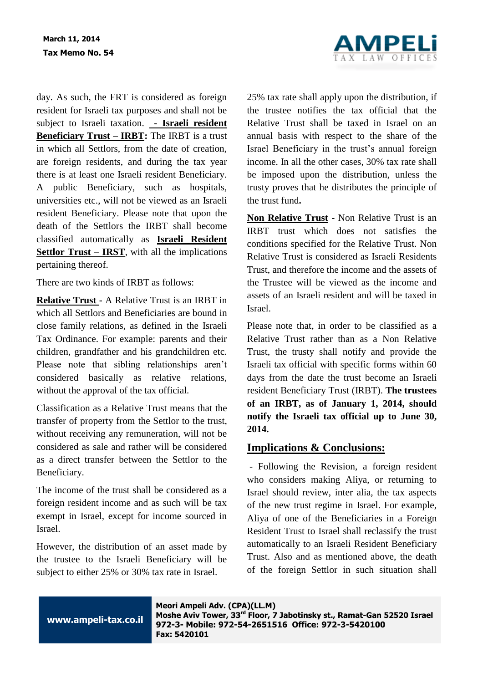day. As such, the FRT is considered as foreign resident for Israeli tax purposes and shall not be subject to Israeli taxation. **- Israeli resident Beneficiary Trust – IRBT:** The IRBT is a trust in which all Settlors, from the date of creation, are foreign residents, and during the tax year there is at least one Israeli resident Beneficiary. A public Beneficiary, such as hospitals, universities etc., will not be viewed as an Israeli resident Beneficiary. Please note that upon the death of the Settlors the IRBT shall become classified automatically as **Israeli Resident Settlor Trust – IRST**, with all the implications pertaining thereof.

There are two kinds of IRBT as follows:

**Relative Trust -** A Relative Trust is an IRBT in which all Settlors and Beneficiaries are bound in close family relations, as defined in the Israeli Tax Ordinance. For example: parents and their children, grandfather and his grandchildren etc. Please note that sibling relationships aren't considered basically as relative relations, without the approval of the tax official.

Classification as a Relative Trust means that the transfer of property from the Settlor to the trust, without receiving any remuneration, will not be considered as sale and rather will be considered as a direct transfer between the Settlor to the Beneficiary.

The income of the trust shall be considered as a foreign resident income and as such will be tax exempt in Israel, except for income sourced in Israel.

However, the distribution of an asset made by the trustee to the Israeli Beneficiary will be subject to either 25% or 30% tax rate in Israel.

25% tax rate shall apply upon the distribution, if the trustee notifies the tax official that the Relative Trust shall be taxed in Israel on an annual basis with respect to the share of the Israel Beneficiary in the trust's annual foreign income. In all the other cases, 30% tax rate shall be imposed upon the distribution, unless the trusty proves that he distributes the principle of the trust fund**.** 

**Non Relative Trust -** Non Relative Trust is an IRBT trust which does not satisfies the conditions specified for the Relative Trust. Non Relative Trust is considered as Israeli Residents Trust, and therefore the income and the assets of the Trustee will be viewed as the income and assets of an Israeli resident and will be taxed in Israel.

Please note that, in order to be classified as a Relative Trust rather than as a Non Relative Trust, the trusty shall notify and provide the Israeli tax official with specific forms within 60 days from the date the trust become an Israeli resident Beneficiary Trust (IRBT). **The trustees of an IRBT, as of January 1, 2014, should notify the Israeli tax official up to June 30, 2014.** 

#### **Implications & Conclusions:**

- Following the Revision, a foreign resident who considers making Aliya, or returning to Israel should review, inter alia, the tax aspects of the new trust regime in Israel. For example, Aliya of one of the Beneficiaries in a Foreign Resident Trust to Israel shall reclassify the trust automatically to an Israeli Resident Beneficiary Trust. Also and as mentioned above, the death of the foreign Settlor in such situation shall

**www.ampeli-tax.co.il**

**Meori Ampeli Adv. (CPA)(LL.M) Moshe Aviv Tower, 33rd Floor, 7 Jabotinsky st., Ramat-Gan 52520 Israel 271-0- Mobile: 271-00-1202022 Office: 271-0-0013233 Fax: 5420101** 

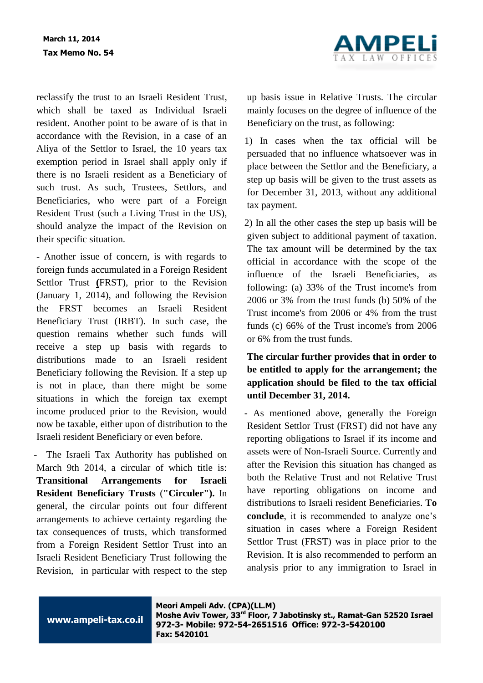

reclassify the trust to an Israeli Resident Trust, which shall be taxed as Individual Israeli resident. Another point to be aware of is that in accordance with the Revision, in a case of an Aliya of the Settlor to Israel, the 10 years tax exemption period in Israel shall apply only if there is no Israeli resident as a Beneficiary of such trust. As such, Trustees, Settlors, and Beneficiaries, who were part of a Foreign Resident Trust (such a Living Trust in the US), should analyze the impact of the Revision on their specific situation.

- Another issue of concern, is with regards to foreign funds accumulated in a Foreign Resident Settlor Trust **(**FRST), prior to the Revision (January 1, 2014), and following the Revision the FRST becomes an Israeli Resident Beneficiary Trust (IRBT). In such case, the question remains whether such funds will receive a step up basis with regards to distributions made to an Israeli resident Beneficiary following the Revision. If a step up is not in place, than there might be some situations in which the foreign tax exempt income produced prior to the Revision, would now be taxable, either upon of distribution to the Israeli resident Beneficiary or even before.

- The Israeli Tax Authority has published on March 9th 2014, a circular of which title is: **Transitional Arrangements for Israeli Resident Beneficiary Trusts** (**"Circuler").** In general, the circular points out four different arrangements to achieve certainty regarding the tax consequences of trusts, which transformed from a Foreign Resident Settlor Trust into an Israeli Resident Beneficiary Trust following the Revision, in particular with respect to the step up basis issue in Relative Trusts. The circular mainly focuses on the degree of influence of the Beneficiary on the trust, as following:

1) In cases when the tax official will be persuaded that no influence whatsoever was in place between the Settlor and the Beneficiary, a step up basis will be given to the trust assets as for December 31, 2013, without any additional tax payment.

2) In all the other cases the step up basis will be given subject to additional payment of taxation. The tax amount will be determined by the tax official in accordance with the scope of the influence of the Israeli Beneficiaries, as following: (a) 33% of the Trust income's from 2006 or 3% from the trust funds (b) 50% of the Trust income's from 2006 or 4% from the trust funds (c) 66% of the Trust income's from 2006 or 6% from the trust funds.

### **The circular further provides that in order to be entitled to apply for the arrangement; the application should be filed to the tax official until December 31, 2014.**

**-** As mentioned above, generally the Foreign Resident Settlor Trust (FRST) did not have any reporting obligations to Israel if its income and assets were of Non-Israeli Source. Currently and after the Revision this situation has changed as both the Relative Trust and not Relative Trust have reporting obligations on income and distributions to Israeli resident Beneficiaries. **To conclude**, it is recommended to analyze one's situation in cases where a Foreign Resident Settlor Trust (FRST) was in place prior to the Revision. It is also recommended to perform an analysis prior to any immigration to Israel in